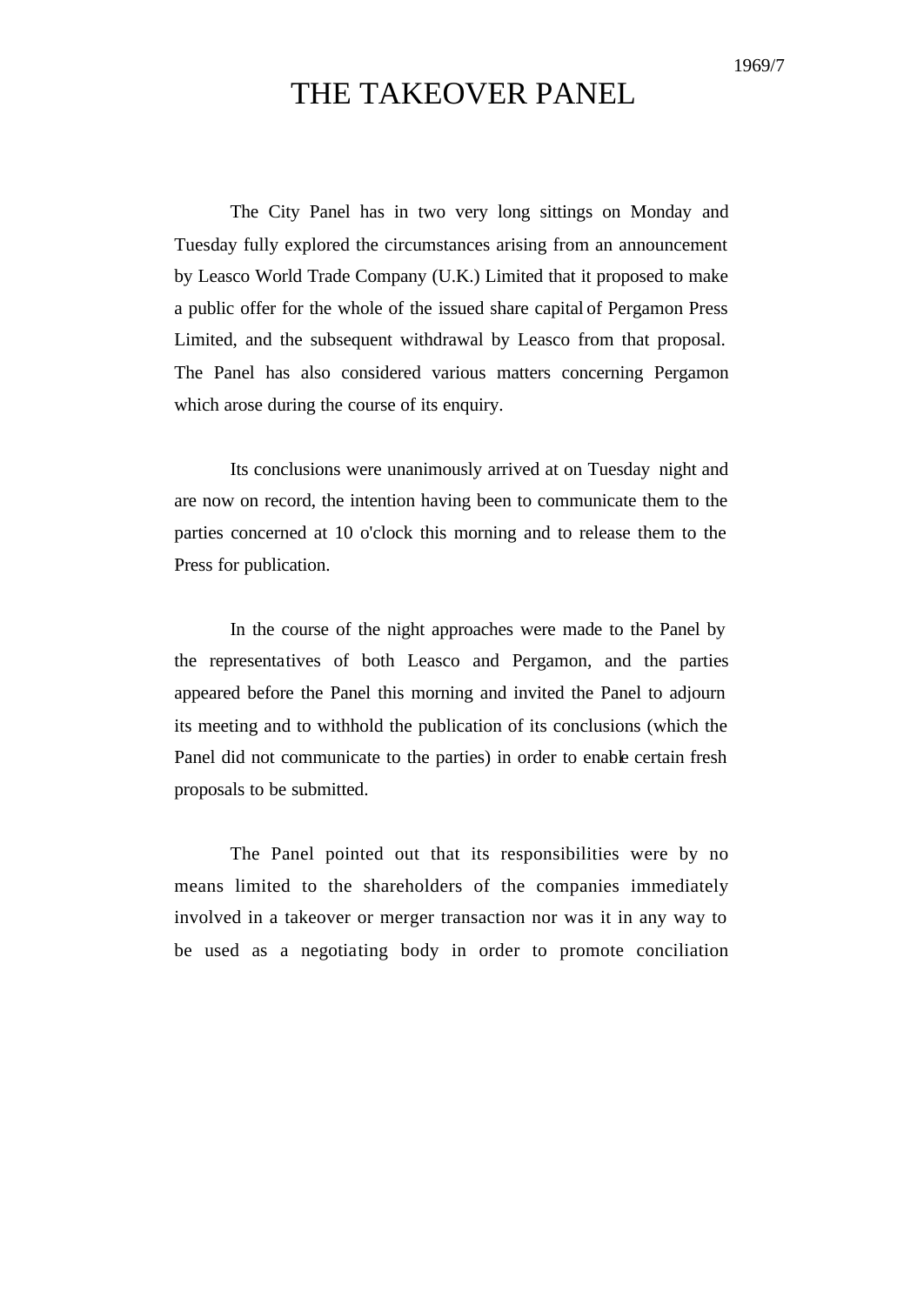## THE TAKEOVER PANEL

The City Panel has in two very long sittings on Monday and Tuesday fully explored the circumstances arising from an announcement by Leasco World Trade Company (U.K.) Limited that it proposed to make a public offer for the whole of the issued share capital of Pergamon Press Limited, and the subsequent withdrawal by Leasco from that proposal. The Panel has also considered various matters concerning Pergamon which arose during the course of its enquiry.

Its conclusions were unanimously arrived at on Tuesday night and are now on record, the intention having been to communicate them to the parties concerned at 10 o'clock this morning and to release them to the Press for publication.

In the course of the night approaches were made to the Panel by the representatives of both Leasco and Pergamon, and the parties appeared before the Panel this morning and invited the Panel to adjourn its meeting and to withhold the publication of its conclusions (which the Panel did not communicate to the parties) in order to enable certain fresh proposals to be submitted.

The Panel pointed out that its responsibilities were by no means limited to the shareholders of the companies immediately involved in a takeover or merger transaction nor was it in any way to be used as a negotiating body in order to promote conciliation